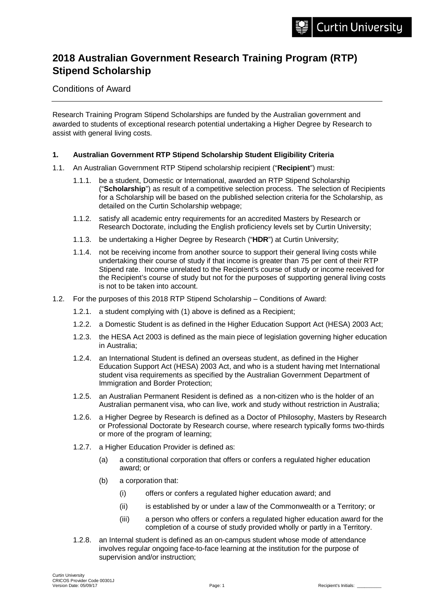# **2018 Australian Government Research Training Program (RTP) Stipend Scholarship**

Conditions of Award

Research Training Program Stipend Scholarships are funded by the Australian government and awarded to students of exceptional research potential undertaking a Higher Degree by Research to assist with general living costs.

#### **1. Australian Government RTP Stipend Scholarship Student Eligibility Criteria**

- 1.1. An Australian Government RTP Stipend scholarship recipient ("**Recipient**") must:
	- 1.1.1. be a student, Domestic or International, awarded an RTP Stipend Scholarship ("**Scholarship**") as result of a competitive selection process. The selection of Recipients for a Scholarship will be based on the published selection criteria for the Scholarship, as detailed on the Curtin Scholarship webpage;
	- 1.1.2. satisfy all academic entry requirements for an accredited Masters by Research or Research Doctorate, including the English proficiency levels set by Curtin University;
	- 1.1.3. be undertaking a Higher Degree by Research ("**HDR**") at Curtin University;
	- 1.1.4. not be receiving income from another source to support their general living costs while undertaking their course of study if that income is greater than 75 per cent of their RTP Stipend rate. Income unrelated to the Recipient's course of study or income received for the Recipient's course of study but not for the purposes of supporting general living costs is not to be taken into account.
- 1.2. For the purposes of this 2018 RTP Stipend Scholarship Conditions of Award:
	- 1.2.1. a student complying with (1) above is defined as a Recipient;
	- 1.2.2. a Domestic Student is as defined in the Higher Education Support Act (HESA) 2003 Act;
	- 1.2.3. the HESA Act 2003 is defined as the main piece of legislation governing higher education in Australia;
	- 1.2.4. an International Student is defined an overseas student, as defined in the Higher Education Support Act (HESA) 2003 Act, and who is a student having met International student visa requirements as specified by the Australian Government Department of Immigration and Border Protection;
	- 1.2.5. an Australian Permanent Resident is defined as a non-citizen who is the holder of an Australian permanent visa, who can live, work and study without restriction in Australia;
	- 1.2.6. a Higher Degree by Research is defined as a Doctor of Philosophy, Masters by Research or Professional Doctorate by Research course, where research typically forms two-thirds or more of the program of learning;
	- 1.2.7. a Higher Education Provider is defined as:
		- (a) a constitutional corporation that offers or confers a regulated higher education award; or
		- (b) a corporation that:
			- (i) offers or confers a regulated higher education award; and
			- (ii) is established by or under a law of the Commonwealth or a Territory; or
			- (iii) a person who offers or confers a regulated higher education award for the completion of a course of study provided wholly or partly in a Territory.
	- 1.2.8. an Internal student is defined as an on-campus student whose mode of attendance involves regular ongoing face-to-face learning at the institution for the purpose of supervision and/or instruction;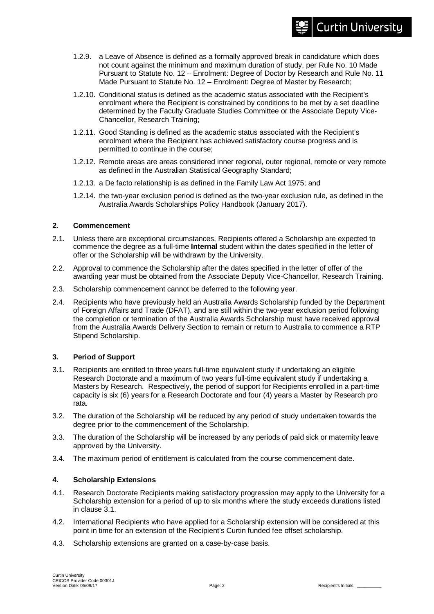- 1.2.9. a Leave of Absence is defined as a formally approved break in candidature which does not count against the minimum and maximum duration of study, per Rule No. 10 Made Pursuant to Statute No. 12 – Enrolment: Degree of Doctor by Research and Rule No. 11 Made Pursuant to Statute No. 12 – Enrolment: Degree of Master by Research;
- 1.2.10. Conditional status is defined as the academic status associated with the Recipient's enrolment where the Recipient is constrained by conditions to be met by a set deadline determined by the Faculty Graduate Studies Committee or the Associate Deputy Vice-Chancellor, Research Training;
- 1.2.11. Good Standing is defined as the academic status associated with the Recipient's enrolment where the Recipient has achieved satisfactory course progress and is permitted to continue in the course;
- 1.2.12. Remote areas are areas considered inner regional, outer regional, remote or very remote as defined in the Australian Statistical Geography Standard;
- 1.2.13. a De facto relationship is as defined in the Family Law Act 1975; and
- 1.2.14. the two-year exclusion period is defined as the two-year exclusion rule, as defined in the Australia Awards Scholarships Policy Handbook (January 2017).

#### **2. Commencement**

- 2.1. Unless there are exceptional circumstances, Recipients offered a Scholarship are expected to commence the degree as a full-time **Internal** student within the dates specified in the letter of offer or the Scholarship will be withdrawn by the University.
- 2.2. Approval to commence the Scholarship after the dates specified in the letter of offer of the awarding year must be obtained from the Associate Deputy Vice-Chancellor, Research Training.
- 2.3. Scholarship commencement cannot be deferred to the following year.
- 2.4. Recipients who have previously held an Australia Awards Scholarship funded by the Department of Foreign Affairs and Trade (DFAT), and are still within the two-year exclusion period following the completion or termination of the Australia Awards Scholarship must have received approval from the Australia Awards Delivery Section to remain or return to Australia to commence a RTP Stipend Scholarship.

# **3. Period of Support**

- 3.1. Recipients are entitled to three years full-time equivalent study if undertaking an eligible Research Doctorate and a maximum of two years full-time equivalent study if undertaking a Masters by Research. Respectively, the period of support for Recipients enrolled in a part-time capacity is six (6) years for a Research Doctorate and four (4) years a Master by Research pro rata.
- 3.2. The duration of the Scholarship will be reduced by any period of study undertaken towards the degree prior to the commencement of the Scholarship.
- 3.3. The duration of the Scholarship will be increased by any periods of paid sick or maternity leave approved by the University.
- 3.4. The maximum period of entitlement is calculated from the course commencement date.

# **4. Scholarship Extensions**

- 4.1. Research Doctorate Recipients making satisfactory progression may apply to the University for a Scholarship extension for a period of up to six months where the study exceeds durations listed in clause 3.1.
- 4.2. International Recipients who have applied for a Scholarship extension will be considered at this point in time for an extension of the Recipient's Curtin funded fee offset scholarship.
- 4.3. Scholarship extensions are granted on a case-by-case basis.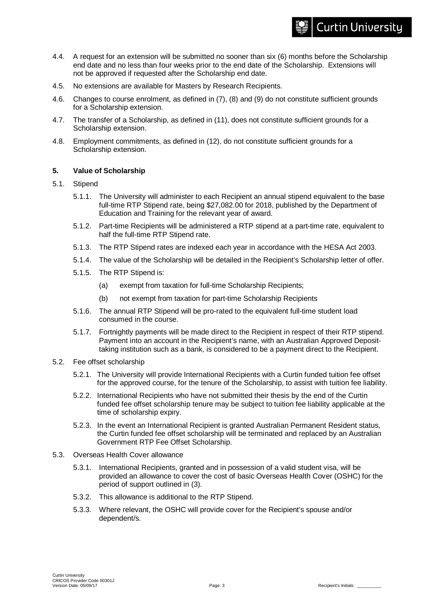#### 4.4. A request for an extension will be submitted no sooner than six (6) months before the Scholarship end date and no less than four weeks prior to the end date of the Scholarship. Extensions will not be approved if requested after the Scholarship end date.

- 4.5. No extensions are available for Masters by Research Recipients.
- 4.6. Changes to course enrolment, as defined in (7), (8) and (9) do not constitute sufficient grounds for a Scholarship extension.
- 4.7. The transfer of a Scholarship, as defined in (11), does not constitute sufficient grounds for a Scholarship extension.
- 4.8. Employment commitments, as defined in (12), do not constitute sufficient grounds for a Scholarship extension.

#### **5. Value of Scholarship**

- 5.1. Stipend
	- 5.1.1. The University will administer to each Recipient an annual stipend equivalent to the base full-time RTP Stipend rate, being \$27,082.00 for 2018, published by the Department of Education and Training for the relevant year of award.
	- 5.1.2. Part-time Recipients will be administered a RTP stipend at a part-time rate, equivalent to half the full-time RTP Stipend rate.
	- 5.1.3. The RTP Stipend rates are indexed each year in accordance with the HESA Act 2003.
	- 5.1.4. The value of the Scholarship will be detailed in the Recipient's Scholarship letter of offer.
	- 5.1.5. The RTP Stipend is:
		- (a) exempt from taxation for full-time Scholarship Recipients;
		- (b) not exempt from taxation for part-time Scholarship Recipients
	- 5.1.6. The annual RTP Stipend will be pro-rated to the equivalent full-time student load consumed in the course.
	- 5.1.7. Fortnightly payments will be made direct to the Recipient in respect of their RTP stipend. Payment into an account in the Recipient's name, with an Australian Approved Deposittaking institution such as a bank, is considered to be a payment direct to the Recipient.
- 5.2. Fee offset scholarship
	- 5.2.1. The University will provide International Recipients with a Curtin funded tuition fee offset for the approved course, for the tenure of the Scholarship, to assist with tuition fee liability.
	- 5.2.2. International Recipients who have not submitted their thesis by the end of the Curtin funded fee offset scholarship tenure may be subject to tuition fee liability applicable at the time of scholarship expiry.
	- 5.2.3. In the event an International Recipient is granted Australian Permanent Resident status, the Curtin funded fee offset scholarship will be terminated and replaced by an Australian Government RTP Fee Offset Scholarship.
- 5.3. Overseas Health Cover allowance
	- 5.3.1. International Recipients, granted and in possession of a valid student visa, will be provided an allowance to cover the cost of basic Overseas Health Cover (OSHC) for the period of support outlined in (3).
	- 5.3.2. This allowance is additional to the RTP Stipend.
	- 5.3.3. Where relevant, the OSHC will provide cover for the Recipient's spouse and/or dependent/s.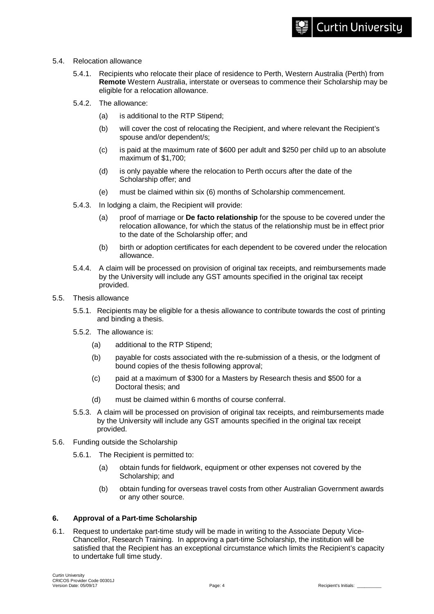- 5.4. Relocation allowance
	- 5.4.1. Recipients who relocate their place of residence to Perth, Western Australia (Perth) from **Remote** Western Australia, interstate or overseas to commence their Scholarship may be eligible for a relocation allowance.
	- 5.4.2. The allowance:
		- (a) is additional to the RTP Stipend;
		- (b) will cover the cost of relocating the Recipient, and where relevant the Recipient's spouse and/or dependent/s;
		- (c) is paid at the maximum rate of \$600 per adult and \$250 per child up to an absolute maximum of \$1,700;
		- (d) is only payable where the relocation to Perth occurs after the date of the Scholarship offer; and
		- (e) must be claimed within six (6) months of Scholarship commencement.
	- 5.4.3. In lodging a claim, the Recipient will provide:
		- (a) proof of marriage or **De facto relationship** for the spouse to be covered under the relocation allowance, for which the status of the relationship must be in effect prior to the date of the Scholarship offer; and
		- (b) birth or adoption certificates for each dependent to be covered under the relocation allowance.
	- 5.4.4. A claim will be processed on provision of original tax receipts, and reimbursements made by the University will include any GST amounts specified in the original tax receipt provided.
- 5.5. Thesis allowance
	- 5.5.1. Recipients may be eligible for a thesis allowance to contribute towards the cost of printing and binding a thesis.
	- 5.5.2. The allowance is:
		- (a) additional to the RTP Stipend;
		- (b) payable for costs associated with the re-submission of a thesis, or the lodgment of bound copies of the thesis following approval;
		- (c) paid at a maximum of \$300 for a Masters by Research thesis and \$500 for a Doctoral thesis; and
		- (d) must be claimed within 6 months of course conferral.
	- 5.5.3. A claim will be processed on provision of original tax receipts, and reimbursements made by the University will include any GST amounts specified in the original tax receipt provided.
- 5.6. Funding outside the Scholarship
	- 5.6.1. The Recipient is permitted to:
		- (a) obtain funds for fieldwork, equipment or other expenses not covered by the Scholarship; and
		- (b) obtain funding for overseas travel costs from other Australian Government awards or any other source.

# **6. Approval of a Part-time Scholarship**

6.1. Request to undertake part-time study will be made in writing to the Associate Deputy Vice-Chancellor, Research Training. In approving a part-time Scholarship, the institution will be satisfied that the Recipient has an exceptional circumstance which limits the Recipient's capacity to undertake full time study.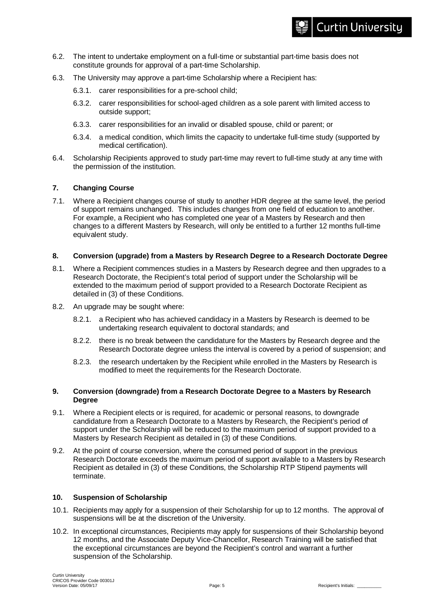- 6.2. The intent to undertake employment on a full-time or substantial part-time basis does not constitute grounds for approval of a part-time Scholarship.
- 6.3. The University may approve a part-time Scholarship where a Recipient has:
	- 6.3.1. carer responsibilities for a pre-school child;
	- 6.3.2. carer responsibilities for school-aged children as a sole parent with limited access to outside support;
	- 6.3.3. carer responsibilities for an invalid or disabled spouse, child or parent; or
	- 6.3.4. a medical condition, which limits the capacity to undertake full-time study (supported by medical certification).
- 6.4. Scholarship Recipients approved to study part-time may revert to full-time study at any time with the permission of the institution.

# **7. Changing Course**

7.1. Where a Recipient changes course of study to another HDR degree at the same level, the period of support remains unchanged. This includes changes from one field of education to another. For example, a Recipient who has completed one year of a Masters by Research and then changes to a different Masters by Research, will only be entitled to a further 12 months full-time equivalent study.

#### **8. Conversion (upgrade) from a Masters by Research Degree to a Research Doctorate Degree**

- 8.1. Where a Recipient commences studies in a Masters by Research degree and then upgrades to a Research Doctorate, the Recipient's total period of support under the Scholarship will be extended to the maximum period of support provided to a Research Doctorate Recipient as detailed in (3) of these Conditions.
- 8.2. An upgrade may be sought where:
	- 8.2.1. a Recipient who has achieved candidacy in a Masters by Research is deemed to be undertaking research equivalent to doctoral standards; and
	- 8.2.2. there is no break between the candidature for the Masters by Research degree and the Research Doctorate degree unless the interval is covered by a period of suspension; and
	- 8.2.3. the research undertaken by the Recipient while enrolled in the Masters by Research is modified to meet the requirements for the Research Doctorate.

#### **9. Conversion (downgrade) from a Research Doctorate Degree to a Masters by Research Degree**

- 9.1. Where a Recipient elects or is required, for academic or personal reasons, to downgrade candidature from a Research Doctorate to a Masters by Research, the Recipient's period of support under the Scholarship will be reduced to the maximum period of support provided to a Masters by Research Recipient as detailed in (3) of these Conditions.
- 9.2. At the point of course conversion, where the consumed period of support in the previous Research Doctorate exceeds the maximum period of support available to a Masters by Research Recipient as detailed in (3) of these Conditions, the Scholarship RTP Stipend payments will terminate.

#### **10. Suspension of Scholarship**

- 10.1. Recipients may apply for a suspension of their Scholarship for up to 12 months. The approval of suspensions will be at the discretion of the University.
- 10.2. In exceptional circumstances, Recipients may apply for suspensions of their Scholarship beyond 12 months, and the Associate Deputy Vice-Chancellor, Research Training will be satisfied that the exceptional circumstances are beyond the Recipient's control and warrant a further suspension of the Scholarship.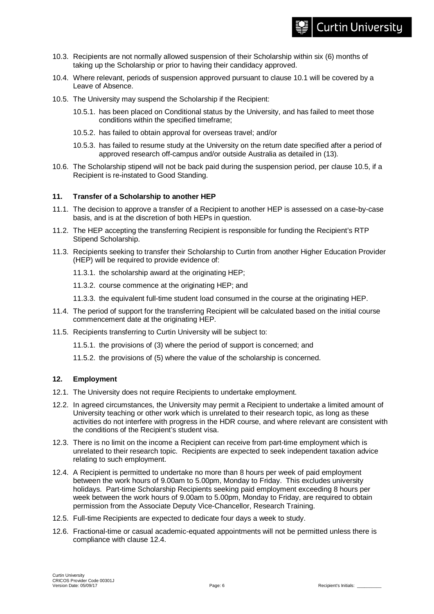- 10.3. Recipients are not normally allowed suspension of their Scholarship within six (6) months of taking up the Scholarship or prior to having their candidacy approved.
- 10.4. Where relevant, periods of suspension approved pursuant to clause 10.1 will be covered by a Leave of Absence.
- 10.5. The University may suspend the Scholarship if the Recipient:
	- 10.5.1. has been placed on Conditional status by the University, and has failed to meet those conditions within the specified timeframe;
	- 10.5.2. has failed to obtain approval for overseas travel; and/or
	- 10.5.3. has failed to resume study at the University on the return date specified after a period of approved research off-campus and/or outside Australia as detailed in (13).
- 10.6. The Scholarship stipend will not be back paid during the suspension period, per clause 10.5, if a Recipient is re-instated to Good Standing.

# **11. Transfer of a Scholarship to another HEP**

- 11.1. The decision to approve a transfer of a Recipient to another HEP is assessed on a case-by-case basis, and is at the discretion of both HEPs in question.
- 11.2. The HEP accepting the transferring Recipient is responsible for funding the Recipient's RTP Stipend Scholarship.
- 11.3. Recipients seeking to transfer their Scholarship to Curtin from another Higher Education Provider (HEP) will be required to provide evidence of:
	- 11.3.1. the scholarship award at the originating HEP;
	- 11.3.2. course commence at the originating HEP; and
	- 11.3.3. the equivalent full-time student load consumed in the course at the originating HEP.
- 11.4. The period of support for the transferring Recipient will be calculated based on the initial course commencement date at the originating HEP.
- 11.5. Recipients transferring to Curtin University will be subject to:
	- 11.5.1. the provisions of (3) where the period of support is concerned; and
	- 11.5.2. the provisions of (5) where the value of the scholarship is concerned.

# **12. Employment**

- 12.1. The University does not require Recipients to undertake employment.
- 12.2. In agreed circumstances, the University may permit a Recipient to undertake a limited amount of University teaching or other work which is unrelated to their research topic, as long as these activities do not interfere with progress in the HDR course, and where relevant are consistent with the conditions of the Recipient's student visa.
- 12.3. There is no limit on the income a Recipient can receive from part-time employment which is unrelated to their research topic. Recipients are expected to seek independent taxation advice relating to such employment.
- 12.4. A Recipient is permitted to undertake no more than 8 hours per week of paid employment between the work hours of 9.00am to 5.00pm, Monday to Friday. This excludes university holidays. Part-time Scholarship Recipients seeking paid employment exceeding 8 hours per week between the work hours of 9.00am to 5.00pm, Monday to Friday, are required to obtain permission from the Associate Deputy Vice-Chancellor, Research Training.
- 12.5. Full-time Recipients are expected to dedicate four days a week to study.
- 12.6. Fractional-time or casual academic-equated appointments will not be permitted unless there is compliance with clause 12.4.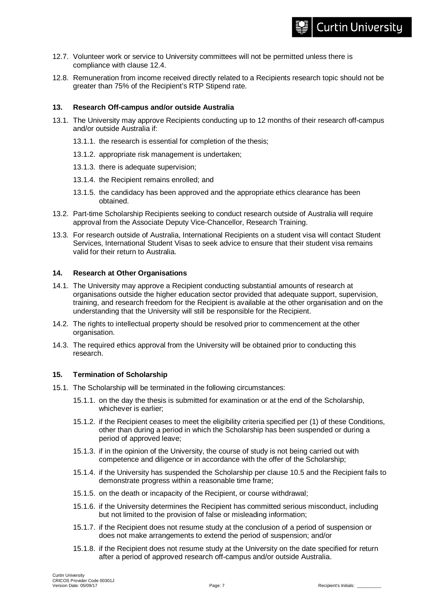# **Curtin University**

- 12.7. Volunteer work or service to University committees will not be permitted unless there is compliance with clause 12.4.
- 12.8. Remuneration from income received directly related to a Recipients research topic should not be greater than 75% of the Recipient's RTP Stipend rate.

#### **13. Research Off-campus and/or outside Australia**

- 13.1. The University may approve Recipients conducting up to 12 months of their research off-campus and/or outside Australia if:
	- 13.1.1. the research is essential for completion of the thesis;
	- 13.1.2. appropriate risk management is undertaken;
	- 13.1.3. there is adequate supervision;
	- 13.1.4. the Recipient remains enrolled; and
	- 13.1.5. the candidacy has been approved and the appropriate ethics clearance has been obtained.
- 13.2. Part-time Scholarship Recipients seeking to conduct research outside of Australia will require approval from the Associate Deputy Vice-Chancellor, Research Training.
- 13.3. For research outside of Australia, International Recipients on a student visa will contact Student Services, International Student Visas to seek advice to ensure that their student visa remains valid for their return to Australia.

#### **14. Research at Other Organisations**

- 14.1. The University may approve a Recipient conducting substantial amounts of research at organisations outside the higher education sector provided that adequate support, supervision, training, and research freedom for the Recipient is available at the other organisation and on the understanding that the University will still be responsible for the Recipient.
- 14.2. The rights to intellectual property should be resolved prior to commencement at the other organisation.
- 14.3. The required ethics approval from the University will be obtained prior to conducting this research.

# **15. Termination of Scholarship**

- 15.1. The Scholarship will be terminated in the following circumstances:
	- 15.1.1. on the day the thesis is submitted for examination or at the end of the Scholarship, whichever is earlier;
	- 15.1.2. if the Recipient ceases to meet the eligibility criteria specified per (1) of these Conditions, other than during a period in which the Scholarship has been suspended or during a period of approved leave;
	- 15.1.3. if in the opinion of the University, the course of study is not being carried out with competence and diligence or in accordance with the offer of the Scholarship;
	- 15.1.4. if the University has suspended the Scholarship per clause 10.5 and the Recipient fails to demonstrate progress within a reasonable time frame;
	- 15.1.5. on the death or incapacity of the Recipient, or course withdrawal;
	- 15.1.6. if the University determines the Recipient has committed serious misconduct, including but not limited to the provision of false or misleading information;
	- 15.1.7. if the Recipient does not resume study at the conclusion of a period of suspension or does not make arrangements to extend the period of suspension; and/or
	- 15.1.8. if the Recipient does not resume study at the University on the date specified for return after a period of approved research off-campus and/or outside Australia.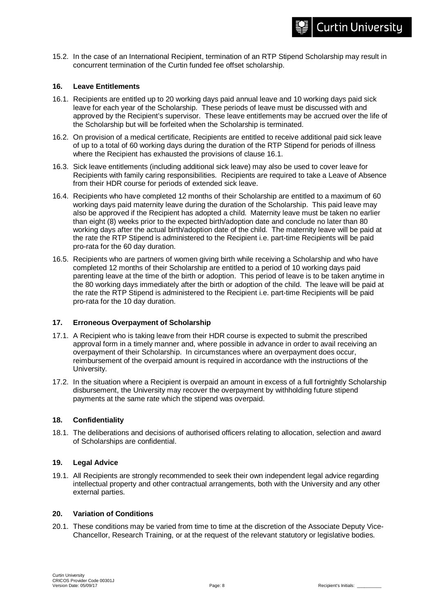15.2. In the case of an International Recipient, termination of an RTP Stipend Scholarship may result in concurrent termination of the Curtin funded fee offset scholarship.

## **16. Leave Entitlements**

- 16.1. Recipients are entitled up to 20 working days paid annual leave and 10 working days paid sick leave for each year of the Scholarship. These periods of leave must be discussed with and approved by the Recipient's supervisor. These leave entitlements may be accrued over the life of the Scholarship but will be forfeited when the Scholarship is terminated.
- 16.2. On provision of a medical certificate, Recipients are entitled to receive additional paid sick leave of up to a total of 60 working days during the duration of the RTP Stipend for periods of illness where the Recipient has exhausted the provisions of clause 16.1.
- 16.3. Sick leave entitlements (including additional sick leave) may also be used to cover leave for Recipients with family caring responsibilities. Recipients are required to take a Leave of Absence from their HDR course for periods of extended sick leave.
- 16.4. Recipients who have completed 12 months of their Scholarship are entitled to a maximum of 60 working days paid maternity leave during the duration of the Scholarship. This paid leave may also be approved if the Recipient has adopted a child. Maternity leave must be taken no earlier than eight (8) weeks prior to the expected birth/adoption date and conclude no later than 80 working days after the actual birth/adoption date of the child. The maternity leave will be paid at the rate the RTP Stipend is administered to the Recipient i.e. part-time Recipients will be paid pro-rata for the 60 day duration.
- 16.5. Recipients who are partners of women giving birth while receiving a Scholarship and who have completed 12 months of their Scholarship are entitled to a period of 10 working days paid parenting leave at the time of the birth or adoption. This period of leave is to be taken anytime in the 80 working days immediately after the birth or adoption of the child. The leave will be paid at the rate the RTP Stipend is administered to the Recipient i.e. part-time Recipients will be paid pro-rata for the 10 day duration.

#### **17. Erroneous Overpayment of Scholarship**

- 17.1. A Recipient who is taking leave from their HDR course is expected to submit the prescribed approval form in a timely manner and, where possible in advance in order to avail receiving an overpayment of their Scholarship. In circumstances where an overpayment does occur, reimbursement of the overpaid amount is required in accordance with the instructions of the University.
- 17.2. In the situation where a Recipient is overpaid an amount in excess of a full fortnightly Scholarship disbursement, the University may recover the overpayment by withholding future stipend payments at the same rate which the stipend was overpaid.

#### **18. Confidentiality**

18.1. The deliberations and decisions of authorised officers relating to allocation, selection and award of Scholarships are confidential.

# **19. Legal Advice**

19.1. All Recipients are strongly recommended to seek their own independent legal advice regarding intellectual property and other contractual arrangements, both with the University and any other external parties.

#### **20. Variation of Conditions**

20.1. These conditions may be varied from time to time at the discretion of the Associate Deputy Vice-Chancellor, Research Training, or at the request of the relevant statutory or legislative bodies.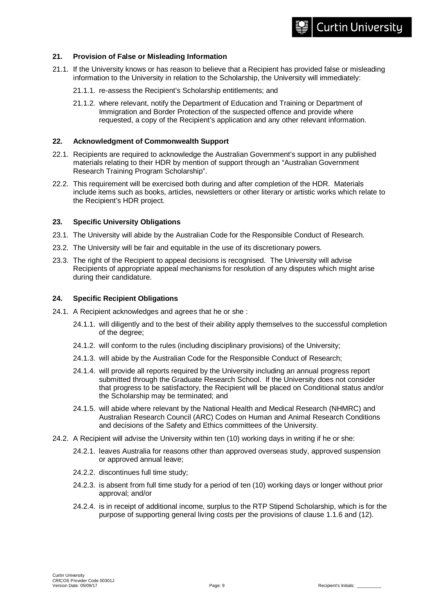## **21. Provision of False or Misleading Information**

- 21.1. If the University knows or has reason to believe that a Recipient has provided false or misleading information to the University in relation to the Scholarship, the University will immediately:
	- 21.1.1. re-assess the Recipient's Scholarship entitlements; and
	- 21.1.2. where relevant, notify the Department of Education and Training or Department of Immigration and Border Protection of the suspected offence and provide where requested, a copy of the Recipient's application and any other relevant information.

#### **22. Acknowledgment of Commonwealth Support**

- 22.1. Recipients are required to acknowledge the Australian Government's support in any published materials relating to their HDR by mention of support through an "Australian Government Research Training Program Scholarship".
- 22.2. This requirement will be exercised both during and after completion of the HDR. Materials include items such as books, articles, newsletters or other literary or artistic works which relate to the Recipient's HDR project.

#### **23. Specific University Obligations**

- 23.1. The University will abide by the Australian Code for the Responsible Conduct of Research.
- 23.2. The University will be fair and equitable in the use of its discretionary powers.
- 23.3. The right of the Recipient to appeal decisions is recognised. The University will advise Recipients of appropriate appeal mechanisms for resolution of any disputes which might arise during their candidature.

#### **24. Specific Recipient Obligations**

- 24.1. A Recipient acknowledges and agrees that he or she :
	- 24.1.1. will diligently and to the best of their ability apply themselves to the successful completion of the degree;
	- 24.1.2. will conform to the rules (including disciplinary provisions) of the University;
	- 24.1.3. will abide by the Australian Code for the Responsible Conduct of Research;
	- 24.1.4. will provide all reports required by the University including an annual progress report submitted through the Graduate Research School. If the University does not consider that progress to be satisfactory, the Recipient will be placed on Conditional status and/or the Scholarship may be terminated; and
	- 24.1.5. will abide where relevant by the National Health and Medical Research (NHMRC) and Australian Research Council (ARC) Codes on Human and Animal Research Conditions and decisions of the Safety and Ethics committees of the University.
- 24.2. A Recipient will advise the University within ten (10) working days in writing if he or she:
	- 24.2.1. leaves Australia for reasons other than approved overseas study, approved suspension or approved annual leave;
	- 24.2.2. discontinues full time study;
	- 24.2.3. is absent from full time study for a period of ten (10) working days or longer without prior approval; and/or
	- 24.2.4. is in receipt of additional income, surplus to the RTP Stipend Scholarship, which is for the purpose of supporting general living costs per the provisions of clause 1.1.6 and (12).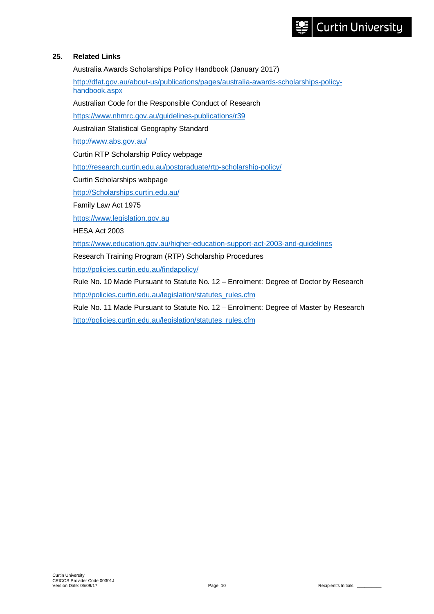## **25. Related Links**

Australia Awards Scholarships Policy Handbook (January 2017)

[http://dfat.gov.au/about-us/publications/pages/australia-awards-scholarships-policy](http://dfat.gov.au/about-us/publications/pages/australia-awards-scholarships-policy-handbook.aspx)[handbook.aspx](http://dfat.gov.au/about-us/publications/pages/australia-awards-scholarships-policy-handbook.aspx)

Australian Code for the Responsible Conduct of Research

<https://www.nhmrc.gov.au/guidelines-publications/r39>

Australian Statistical Geography Standard

<http://www.abs.gov.au/>

Curtin RTP Scholarship Policy webpage

<http://research.curtin.edu.au/postgraduate/rtp-scholarship-policy/>

Curtin Scholarships webpage

[http://Scholarships.curtin.edu.au/](http://scholarships.curtin.edu.au/)

Family Law Act 1975

[https://www.legislation.gov.au](https://www.legislation.gov.au/)

HESA Act 2003

<https://www.education.gov.au/higher-education-support-act-2003-and-guidelines>

Research Training Program (RTP) Scholarship Procedures

<http://policies.curtin.edu.au/findapolicy/>

Rule No. 10 Made Pursuant to Statute No. 12 – Enrolment: Degree of Doctor by Research [http://policies.curtin.edu.au/legislation/statutes\\_rules.cfm](http://policies.curtin.edu.au/legislation/statutes_rules.cfm)

Rule No. 11 Made Pursuant to Statute No. 12 – Enrolment: Degree of Master by Research [http://policies.curtin.edu.au/legislation/statutes\\_rules.cfm](http://policies.curtin.edu.au/legislation/statutes_rules.cfm)